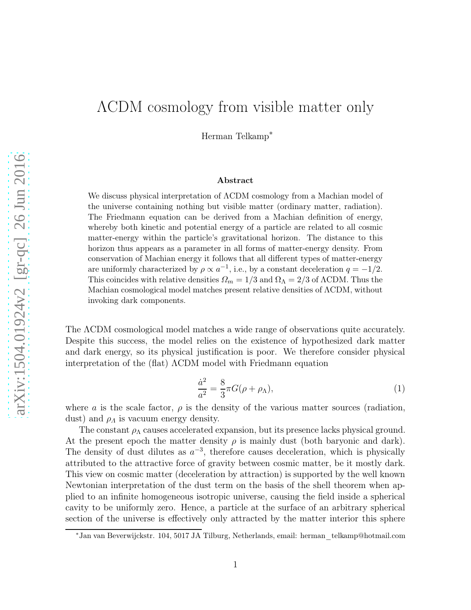## ΛCDM cosmology from visible matter only

Herman Telkamp<sup>∗</sup>

## Abstract

We discuss physical interpretation of ΛCDM cosmology from a Machian model of the universe containing nothing but visible matter (ordinary matter, radiation). The Friedmann equation can be derived from a Machian definition of energy, whereby both kinetic and potential energy of a particle are related to all cosmic matter-energy within the particle's gravitational horizon. The distance to this horizon thus appears as a parameter in all forms of matter-energy density. From conservation of Machian energy it follows that all different types of matter-energy are uniformly characterized by  $\rho \propto a^{-1}$ , i.e., by a constant deceleration  $q = -1/2$ . This coincides with relative densities  $\Omega_m = 1/3$  and  $\Omega_{\Lambda} = 2/3$  of  $\Lambda$ CDM. Thus the Machian cosmological model matches present relative densities of ΛCDM, without invoking dark components.

The ΛCDM cosmological model matches a wide range of observations quite accurately. Despite this success, the model relies on the existence of hypothesized dark matter and dark energy, so its physical justification is poor. We therefore consider physical interpretation of the (flat) ΛCDM model with Friedmann equation

$$
\frac{\dot{a}^2}{a^2} = \frac{8}{3}\pi G(\rho + \rho_\Lambda),\tag{1}
$$

where a is the scale factor,  $\rho$  is the density of the various matter sources (radiation, dust) and  $\rho_A$  is vacuum energy density.

The constant  $\rho_{\Lambda}$  causes accelerated expansion, but its presence lacks physical ground. At the present epoch the matter density  $\rho$  is mainly dust (both baryonic and dark). The density of dust dilutes as  $a^{-3}$ , therefore causes deceleration, which is physically attributed to the attractive force of gravity between cosmic matter, be it mostly dark. This view on cosmic matter (deceleration by attraction) is supported by the well known Newtonian interpretation of the dust term on the basis of the shell theorem when applied to an infinite homogeneous isotropic universe, causing the field inside a spherical cavity to be uniformly zero. Hence, a particle at the surface of an arbitrary spherical section of the universe is effectively only attracted by the matter interior this sphere

<sup>∗</sup>Jan van Beverwijckstr. 104, 5017 JA Tilburg, Netherlands, email: herman\_telkamp@hotmail.com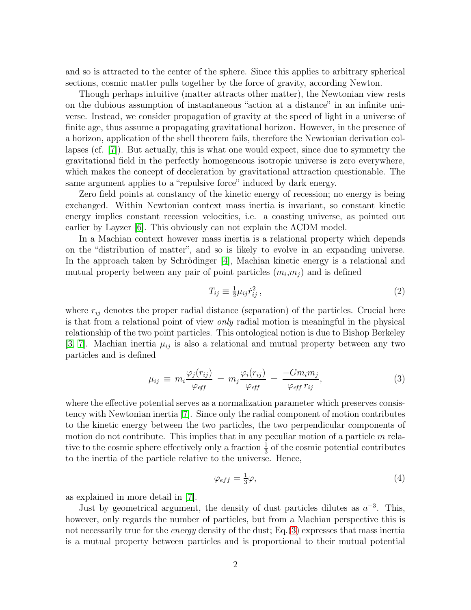and so is attracted to the center of the sphere. Since this applies to arbitrary spherical sections, cosmic matter pulls together by the force of gravity, according Newton.

Though perhaps intuitive (matter attracts other matter), the Newtonian view rests on the dubious assumption of instantaneous "action at a distance" in an infinite universe. Instead, we consider propagation of gravity at the speed of light in a universe of finite age, thus assume a propagating gravitational horizon. However, in the presence of a horizon, application of the shell theorem fails, therefore the Newtonian derivation collapses (cf. [\[7\]](#page-6-0)). But actually, this is what one would expect, since due to symmetry the gravitational field in the perfectly homogeneous isotropic universe is zero everywhere, which makes the concept of deceleration by gravitational attraction questionable. The same argument applies to a "repulsive force" induced by dark energy.

Zero field points at constancy of the kinetic energy of recession; no energy is being exchanged. Within Newtonian context mass inertia is invariant, so constant kinetic energy implies constant recession velocities, i.e. a coasting universe, as pointed out earlier by Layzer [\[6\]](#page-6-1). This obviously can not explain the ΛCDM model.

In a Machian context however mass inertia is a relational property which depends on the "distribution of matter", and so is likely to evolve in an expanding universe. In the approach taken by Schrödinger [\[4\]](#page-5-0), Machian kinetic energy is a relational and mutual property between any pair of point particles  $(m_i, m_j)$  and is defined

$$
T_{ij} \equiv \frac{1}{2} \mu_{ij} \dot{r}_{ij}^2 \,, \tag{2}
$$

where  $r_{ij}$  denotes the proper radial distance (separation) of the particles. Crucial here is that from a relational point of view only radial motion is meaningful in the physical relationship of the two point particles. This ontological notion is due to Bishop Berkeley [\[3,](#page-5-1) [7\]](#page-6-0). Machian inertia  $\mu_{ij}$  is also a relational and mutual property between any two particles and is defined

<span id="page-1-0"></span>
$$
\mu_{ij} \equiv m_i \frac{\varphi_j(r_{ij})}{\varphi_{eff}} = m_j \frac{\varphi_i(r_{ij})}{\varphi_{eff}} = \frac{-Gm_i m_j}{\varphi_{eff} r_{ij}}, \qquad (3)
$$

where the effective potential serves as a normalization parameter which preserves consistency with Newtonian inertia [\[7\]](#page-6-0). Since only the radial component of motion contributes to the kinetic energy between the two particles, the two perpendicular components of motion do not contribute. This implies that in any peculiar motion of a particle  $m$  relative to the cosmic sphere effectively only a fraction  $\frac{1}{3}$  of the cosmic potential contributes to the inertia of the particle relative to the universe. Hence,

$$
\varphi_{eff} = \frac{1}{3}\varphi,\tag{4}
$$

as explained in more detail in [\[7\]](#page-6-0).

Just by geometrical argument, the density of dust particles dilutes as  $a^{-3}$ . This, however, only regards the number of particles, but from a Machian perspective this is not necessarily true for the *energy* density of the dust; Eq.[\(3\)](#page-1-0) expresses that mass inertia is a mutual property between particles and is proportional to their mutual potential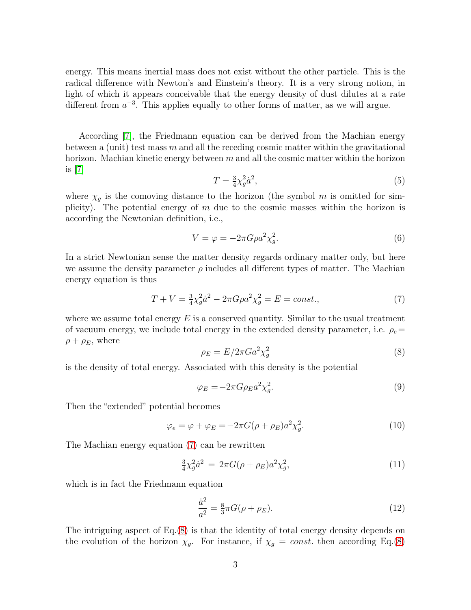energy. This means inertial mass does not exist without the other particle. This is the radical difference with Newton's and Einstein's theory. It is a very strong notion, in light of which it appears conceivable that the energy density of dust dilutes at a rate different from  $a^{-3}$ . This applies equally to other forms of matter, as we will argue.

According [\[7\]](#page-6-0), the Friedmann equation can be derived from the Machian energy between a (unit) test mass  $m$  and all the receding cosmic matter within the gravitational horizon. Machian kinetic energy between  $m$  and all the cosmic matter within the horizon is  $|7|$ 

$$
T = \frac{3}{4}\chi_g^2 \dot{a}^2,\tag{5}
$$

where  $\chi_g$  is the comoving distance to the horizon (the symbol m is omitted for simplicity). The potential energy of  $m$  due to the cosmic masses within the horizon is according the Newtonian definition, i.e.,

$$
V = \varphi = -2\pi G \rho a^2 \chi_g^2. \tag{6}
$$

In a strict Newtonian sense the matter density regards ordinary matter only, but here we assume the density parameter  $\rho$  includes all different types of matter. The Machian energy equation is thus

<span id="page-2-0"></span>
$$
T + V = \frac{3}{4}\chi_g^2 \dot{a}^2 - 2\pi G \rho a^2 \chi_g^2 = E = const.,\tag{7}
$$

where we assume total energy  $E$  is a conserved quantity. Similar to the usual treatment of vacuum energy, we include total energy in the extended density parameter, i.e.  $\rho_e =$  $\rho + \rho_E$ , where

<span id="page-2-1"></span>
$$
\rho_E = E/2\pi G a^2 \chi_g^2 \tag{8}
$$

is the density of total energy. Associated with this density is the potential

$$
\varphi_E = -2\pi G \rho_E a^2 \chi_g^2. \tag{9}
$$

Then the "extended" potential becomes

<span id="page-2-2"></span>
$$
\varphi_e = \varphi + \varphi_E = -2\pi G(\rho + \rho_E)a^2 \chi_g^2.
$$
\n(10)

The Machian energy equation [\(7\)](#page-2-0) can be rewritten

<span id="page-2-3"></span>
$$
\frac{3}{4}\chi_g^2 \dot{a}^2 = 2\pi G(\rho + \rho_E) a^2 \chi_g^2, \tag{11}
$$

which is in fact the Friedmann equation

$$
\frac{\dot{a}^2}{a^2} = \frac{8}{3}\pi G(\rho + \rho_E). \tag{12}
$$

The intriguing aspect of Eq.[\(8\)](#page-2-1) is that the identity of total energy density depends on the evolution of the horizon  $\chi_g$ . For instance, if  $\chi_g = const$ . then according Eq.[\(8\)](#page-2-1)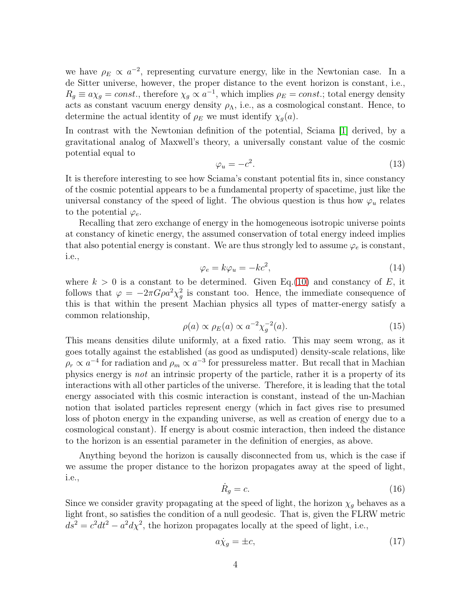we have  $\rho_E \propto a^{-2}$ , representing curvature energy, like in the Newtonian case. In a de Sitter universe, however, the proper distance to the event horizon is constant, i.e.,  $R_g \equiv a\chi_g = const.$ , therefore  $\chi_g \propto a^{-1}$ , which implies  $\rho_E = const.$ ; total energy density acts as constant vacuum energy density  $\rho_{\Lambda}$ , i.e., as a cosmological constant. Hence, to determine the actual identity of  $\rho_E$  we must identify  $\chi_q(a)$ .

In contrast with the Newtonian definition of the potential, Sciama [\[1\]](#page-5-2) derived, by a gravitational analog of Maxwell's theory, a universally constant value of the cosmic potential equal to

$$
\varphi_u = -c^2. \tag{13}
$$

It is therefore interesting to see how Sciama's constant potential fits in, since constancy of the cosmic potential appears to be a fundamental property of spacetime, just like the universal constancy of the speed of light. The obvious question is thus how  $\varphi_u$  relates to the potential  $\varphi_e$ .

Recalling that zero exchange of energy in the homogeneous isotropic universe points at constancy of kinetic energy, the assumed conservation of total energy indeed implies that also potential energy is constant. We are thus strongly led to assume  $\varphi_e$  is constant, i.e.,

<span id="page-3-0"></span>
$$
\varphi_e = k\varphi_u = -kc^2,\tag{14}
$$

where  $k > 0$  is a constant to be determined. Given Eq. [\(10\)](#page-2-2) and constancy of E, it follows that  $\varphi = -2\pi G \rho a^2 \chi^2_{\sigma}$  $_g^2$  is constant too. Hence, the immediate consequence of this is that within the present Machian physics all types of matter-energy satisfy a common relationship,

<span id="page-3-3"></span>
$$
\rho(a) \propto \rho_E(a) \propto a^{-2} \chi_g^{-2}(a). \tag{15}
$$

This means densities dilute uniformly, at a fixed ratio. This may seem wrong, as it goes totally against the established (as good as undisputed) density-scale relations, like  $\rho_r \propto a^{-4}$  for radiation and  $\rho_m \propto a^{-3}$  for pressureless matter. But recall that in Machian physics energy is not an intrinsic property of the particle, rather it is a property of its interactions with all other particles of the universe. Therefore, it is leading that the total energy associated with this cosmic interaction is constant, instead of the un-Machian notion that isolated particles represent energy (which in fact gives rise to presumed loss of photon energy in the expanding universe, as well as creation of energy due to a cosmological constant). If energy is about cosmic interaction, then indeed the distance to the horizon is an essential parameter in the definition of energies, as above.

Anything beyond the horizon is causally disconnected from us, which is the case if we assume the proper distance to the horizon propagates away at the speed of light, i.e.,

<span id="page-3-2"></span>
$$
\dot{R}_g = c.\t\t(16)
$$

Since we consider gravity propagating at the speed of light, the horizon  $\chi_g$  behaves as a light front, so satisfies the condition of a null geodesic. That is, given the FLRW metric  $d\overline{s}^2 = c^2 dt^2 - a^2 d\chi^2$ , the horizon propagates locally at the speed of light, i.e.,

<span id="page-3-1"></span>
$$
a\dot{\chi}_g = \pm c,\tag{17}
$$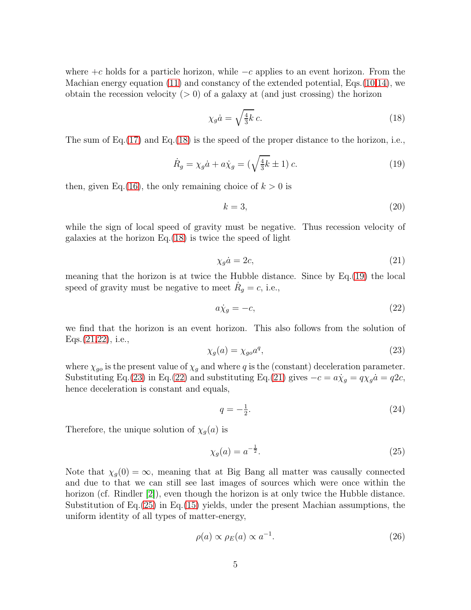where  $+c$  holds for a particle horizon, while  $-c$  applies to an event horizon. From the Machian energy equation [\(11\)](#page-2-3) and constancy of the extended potential, Eqs.[\(10](#page-2-2)[,14\)](#page-3-0), we obtain the recession velocity  $(> 0)$  of a galaxy at (and just crossing) the horizon

<span id="page-4-0"></span>
$$
\chi_g \dot{a} = \sqrt{\frac{4}{3}k} c. \tag{18}
$$

The sum of Eq.[\(17\)](#page-3-1) and Eq.[\(18\)](#page-4-0) is the speed of the proper distance to the horizon, i.e.,

<span id="page-4-1"></span>
$$
\dot{R}_g = \chi_g \dot{a} + a\dot{\chi}_g = \left(\sqrt{\frac{4}{3}k} \pm 1\right)c. \tag{19}
$$

then, given Eq.[\(16\)](#page-3-2), the only remaining choice of  $k > 0$  is

$$
k = 3,\t\t(20)
$$

while the sign of local speed of gravity must be negative. Thus recession velocity of galaxies at the horizon Eq.[\(18\)](#page-4-0) is twice the speed of light

<span id="page-4-2"></span>
$$
\chi_g \dot{a} = 2c,\tag{21}
$$

meaning that the horizon is at twice the Hubble distance. Since by Eq.[\(19\)](#page-4-1) the local speed of gravity must be negative to meet  $\dot{R}_g = c$ , i.e.,

<span id="page-4-3"></span>
$$
a\dot{\chi}_g = -c,\tag{22}
$$

we find that the horizon is an event horizon. This also follows from the solution of Eqs.[\(21,](#page-4-2)[22\)](#page-4-3), i.e.,

<span id="page-4-4"></span>
$$
\chi_g(a) = \chi_{go} a^q,\tag{23}
$$

where  $\chi_{go}$  is the present value of  $\chi_g$  and where q is the (constant) deceleration parameter. Substituting Eq.[\(23\)](#page-4-4) in Eq.[\(22\)](#page-4-3) and substituting Eq.[\(21\)](#page-4-2) gives  $-c = a\dot{\chi}_g = q\chi_g a = q2c$ , hence deceleration is constant and equals,

$$
q = -\frac{1}{2}.\tag{24}
$$

Therefore, the unique solution of  $\chi_g(a)$  is

<span id="page-4-5"></span>
$$
\chi_g(a) = a^{-\frac{1}{2}}.\tag{25}
$$

Note that  $\chi_q(0) = \infty$ , meaning that at Big Bang all matter was causally connected and due to that we can still see last images of sources which were once within the horizon (cf. Rindler [\[2\]](#page-5-3)), even though the horizon is at only twice the Hubble distance. Substitution of Eq. $(25)$  in Eq. $(15)$  yields, under the present Machian assumptions, the uniform identity of all types of matter-energy,

$$
\rho(a) \propto \rho_E(a) \propto a^{-1}.\tag{26}
$$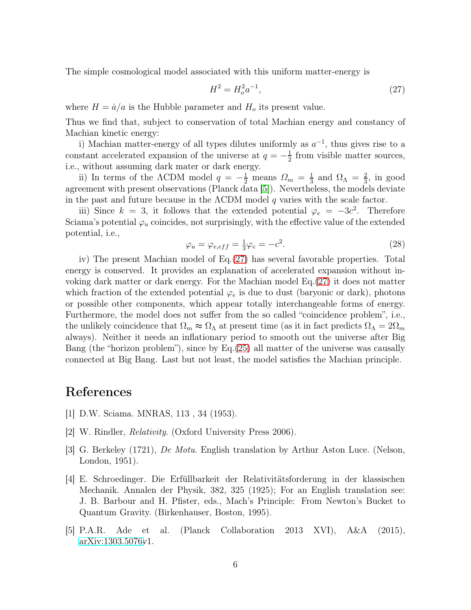The simple cosmological model associated with this uniform matter-energy is

<span id="page-5-5"></span>
$$
H^2 = H_o^2 a^{-1},\tag{27}
$$

where  $H = \dot{a}/a$  is the Hubble parameter and  $H_o$  its present value.

Thus we find that, subject to conservation of total Machian energy and constancy of Machian kinetic energy:

i) Machian matter-energy of all types dilutes uniformly as  $a^{-1}$ , thus gives rise to a constant accelerated expansion of the universe at  $q = -\frac{1}{2}$  $\frac{1}{2}$  from visible matter sources, i.e., without assuming dark mater or dark energy.

ii) In terms of the  $\Lambda$ CDM model  $q = -\frac{1}{2}$  means  $\Omega_m = \frac{1}{3}$  $rac{1}{3}$  and  $\Omega_{\Lambda} = \frac{2}{3}$  $\frac{2}{3}$ , in good agreement with present observations (Planck data [\[5\]](#page-5-4)). Nevertheless, the models deviate in the past and future because in the  $\Lambda$ CDM model q varies with the scale factor.

iii) Since  $k = 3$ , it follows that the extended potential  $\varphi_e = -3c^2$ . Therefore Sciama's potential  $\varphi_u$  coincides, not surprisingly, with the effective value of the extended potential, i.e.,

$$
\varphi_u = \varphi_{e,eff} = \frac{1}{3}\varphi_e = -c^2. \tag{28}
$$

iv) The present Machian model of Eq.[\(27\)](#page-5-5) has several favorable properties. Total energy is conserved. It provides an explanation of accelerated expansion without invoking dark matter or dark energy. For the Machian model Eq.[\(27\)](#page-5-5) it does not matter which fraction of the extended potential  $\varphi_e$  is due to dust (baryonic or dark), photons or possible other components, which appear totally interchangeable forms of energy. Furthermore, the model does not suffer from the so called "coincidence problem", i.e., the unlikely coincidence that  $\Omega_m \approx \Omega_{\Lambda}$  at present time (as it in fact predicts  $\Omega_{\Lambda} = 2\Omega_m$ always). Neither it needs an inflationary period to smooth out the universe after Big Bang (the "horizon problem"), since by Eq.[\(25\)](#page-4-5) all matter of the universe was causally connected at Big Bang. Last but not least, the model satisfies the Machian principle.

## <span id="page-5-2"></span>References

- <span id="page-5-3"></span>[1] D.W. Sciama. MNRAS, 113 , 34 (1953).
- <span id="page-5-1"></span>[2] W. Rindler, Relativity. (Oxford University Press 2006).
- [3] G. Berkeley (1721), De Motu. English translation by Arthur Aston Luce. (Nelson, London, 1951).
- <span id="page-5-0"></span>[4] E. Schroedinger. Die Erfüllbarkeit der Relativitätsforderung in der klassischen Mechanik. Annalen der Physik, 382, 325 (1925); For an English translation see: J. B. Barbour and H. Pfister, eds., Mach's Principle: From Newton's Bucket to Quantum Gravity. (Birkenhauser, Boston, 1995).
- <span id="page-5-4"></span>[5] P.A.R. Ade et al. (Planck Collaboration 2013 XVI), A&A (2015), [arXiv:1303.5076v](http://arxiv.org/abs/1303.5076)1.